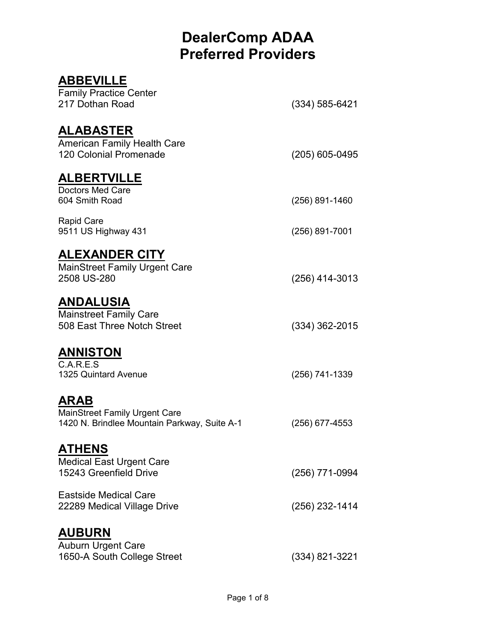#### **ABBEVILLE**  Family Practice Center 217 Dothan Road (334) 585-6421 **ALABASTER**  American Family Health Care 120 Colonial Promenade (205) 605-0495 **ALBERTVILLE**  Doctors Med Care<br>604 Smith Road (256) 891-1460 Rapid Care 9511 US Highway 431 (256) 891-7001 **ALEXANDER CITY**  MainStreet Family Urgent Care 2508 US-280 (256) 414-3013 **ANDALUSIA**  Mainstreet Family Care 508 East Three Notch Street (334) 362-2015 **ANNISTON**  C.A.R.E.S 1325 Quintard Avenue (256) 741-1339 **ARAB**  MainStreet Family Urgent Care 1420 N. Brindlee Mountain Parkway, Suite A-1 (256) 677-4553 **ATHENS**  Medical East Urgent Care 15243 Greenfield Drive (256) 771-0994 Eastside Medical Care 22289 Medical Village Drive (256) 232-1414 **AUBURN**  Auburn Urgent Care 1650-A South College Street (334) 821-3221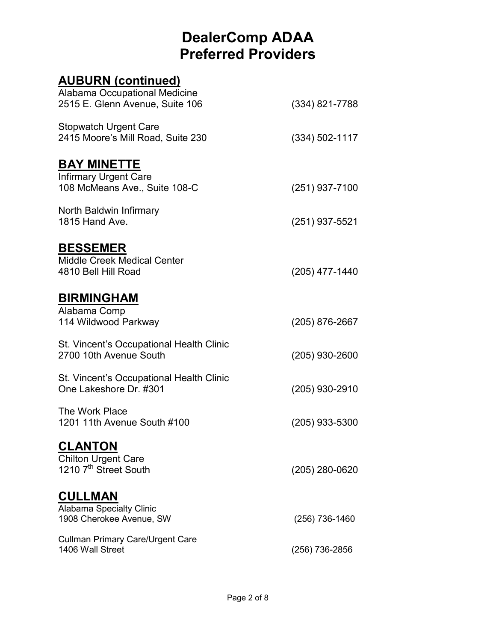#### **AUBURN (continued)** Alabama Occupational Medicine 2515 E. Glenn Avenue, Suite 106 (334) 821-7788 Stopwatch Urgent Care 2415 Moore's Mill Road, Suite 230 (334) 502-1117 **BAY MINETTE**  Infirmary Urgent Care 108 McMeans Ave., Suite 108-C (251) 937-7100 North Baldwin Infirmary 1815 Hand Ave. (251) 937-5521 **BESSEMER**  Middle Creek Medical Center 4810 Bell Hill Road (205) 477-1440 **BIRMINGHAM**  Alabama Comp 114 Wildwood Parkway (205) 876-2667 St. Vincent's Occupational Health Clinic 2700 10th Avenue South (205) 930-2600 St. Vincent's Occupational Health Clinic One Lakeshore Dr. #301 (205) 930-2910 The Work Place 1201 11th Avenue South #100 (205) 933-5300 **CLANTON**  Chilton Urgent Care 1210  $7^{\text{th}}$  Street South (205) 280-0620 **CULLMAN**  Alabama Specialty Clinic 1908 Cherokee Avenue, SW (256) 736-1460 Cullman Primary Care/Urgent Care (256) 736-2856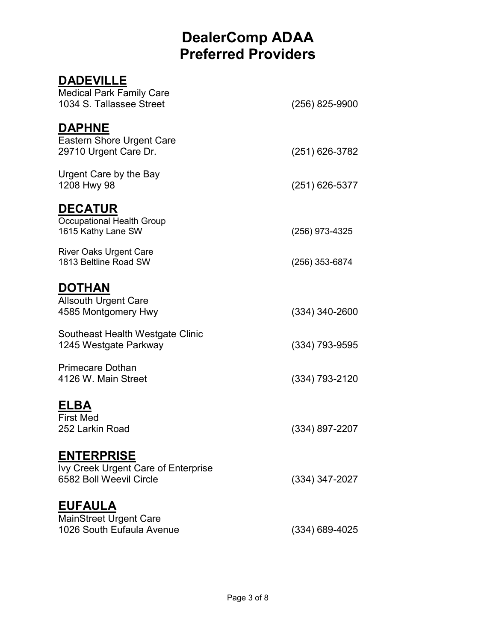#### **DADEVILLE**  Medical Park Family Care 1034 S. Tallassee Street (256) 825-9900 **DAPHNE**  Eastern Shore Urgent Care 29710 Urgent Care Dr. (251) 626-3782 Urgent Care by the Bay 1208 Hwy 98 (251) 626-5377 **DECATUR**  Occupational Health Group 1615 Kathy Lane SW (256) 973-4325 River Oaks Urgent Care 1813 Beltline Road SW (256) 353-6874 **DOTHAN**  Allsouth Urgent Care 4585 Montgomery Hwy (334) 340-2600 Southeast Health Westgate Clinic 1245 Westgate Parkway (334) 793-9595 Primecare Dothan 4126 W. Main Street (334) 793-2120 **ELBA**  First Med<br>252 Larkin Road (334) 897-2207 **ENTERPRISE**  Ivy Creek Urgent Care of Enterprise 6582 Boll Weevil Circle (334) 347-2027 **EUFAULA**  MainStreet Urgent Care 1026 South Eufaula Avenue (334) 689-4025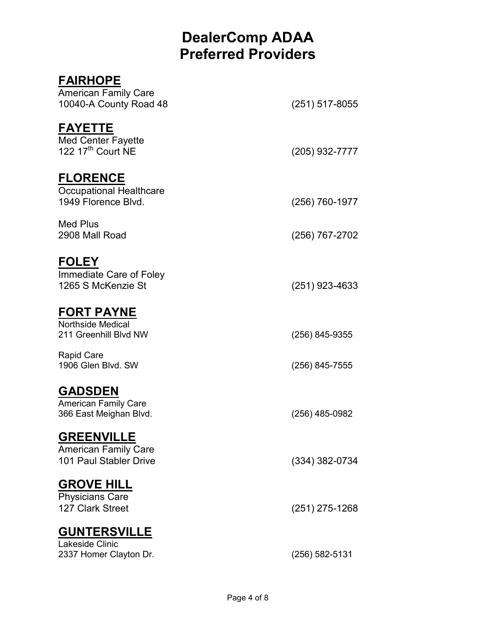| <b>FAIRHOPE</b>                                                            |                  |
|----------------------------------------------------------------------------|------------------|
| <b>American Family Care</b><br>10040-A County Road 48                      | $(251)$ 517-8055 |
| <b>FAYETTE</b><br>Med Center Fayette<br>122 17 <sup>th</sup> Court NE      | (205) 932-7777   |
| <b>FLORENCE</b><br><b>Occupational Healthcare</b><br>1949 Florence Blvd.   | (256) 760-1977   |
| Med Plus<br>2908 Mall Road                                                 | (256) 767-2702   |
| <b>FOLEY</b><br>Immediate Care of Foley<br>1265 S McKenzie St              | (251) 923-4633   |
| <u>FORT PAYNE</u><br><b>Northside Medical</b><br>211 Greenhill Blvd NW     | (256) 845-9355   |
| <b>Rapid Care</b><br>1906 Glen Blvd. SW                                    | (256) 845-7555   |
| <b>GADSDEN</b><br><b>American Family Care</b><br>366 East Meighan Blvd.    | (256) 485-0982   |
| <u>GREENVILLE</u><br><b>American Family Care</b><br>101 Paul Stabler Drive | (334) 382-0734   |
| <b>GROVE HILL</b><br><b>Physicians Care</b><br>127 Clark Street            | $(251)$ 275-1268 |
| <b>GUNTERSVILLE</b><br>Lakeside Clinic<br>2337 Homer Clayton Dr.           | (256) 582-5131   |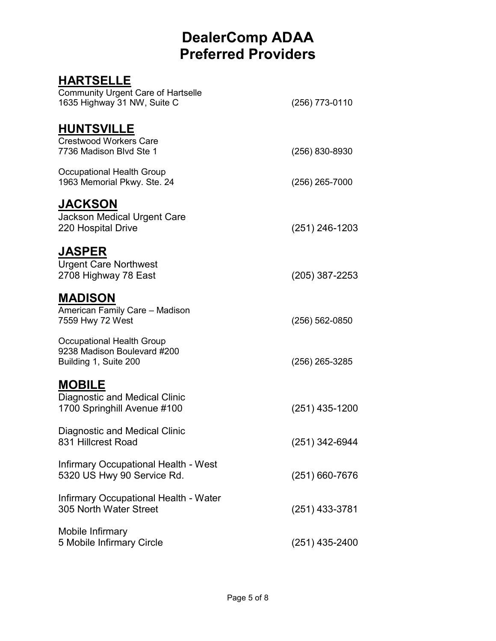#### **HARTSELLE**

| <b>Community Urgent Care of Hartselle</b><br>1635 Highway 31 NW, Suite C             | (256) 773-0110     |
|--------------------------------------------------------------------------------------|--------------------|
| <b>HUNTSVILLE</b><br><b>Crestwood Workers Care</b><br>7736 Madison Blvd Ste 1        | (256) 830-8930     |
| Occupational Health Group<br>1963 Memorial Pkwy. Ste. 24                             | $(256)$ 265-7000   |
| <b>JACKSON</b><br><b>Jackson Medical Urgent Care</b><br>220 Hospital Drive           | $(251)$ 246-1203   |
| <b>JASPER</b><br><b>Urgent Care Northwest</b><br>2708 Highway 78 East                | $(205)$ 387-2253   |
| <b>MADISON</b><br>American Family Care - Madison<br>7559 Hwy 72 West                 | $(256) 562 - 0850$ |
| Occupational Health Group<br>9238 Madison Boulevard #200<br>Building 1, Suite 200    | (256) 265-3285     |
| <b>MOBILE</b><br><b>Diagnostic and Medical Clinic</b><br>1700 Springhill Avenue #100 | (251) 435-1200     |
| <b>Diagnostic and Medical Clinic</b><br>831 Hillcrest Road                           | (251) 342-6944     |
| Infirmary Occupational Health - West<br>5320 US Hwy 90 Service Rd.                   | $(251)$ 660-7676   |
| Infirmary Occupational Health - Water<br>305 North Water Street                      | (251) 433-3781     |
| Mobile Infirmary<br>5 Mobile Infirmary Circle                                        | (251) 435-2400     |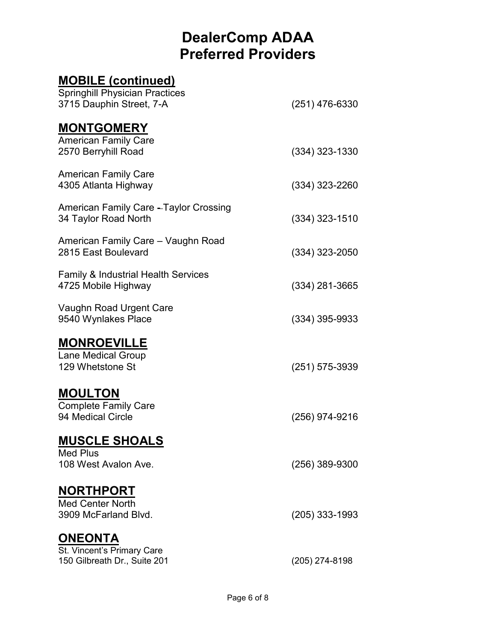#### **MOBILE (continued)**  Springhill Physician Practices 3715 Dauphin Street, 7-A (251) 476-6330 **MONTGOMERY**  American Family Care 2570 Berryhill Road (334) 323-1330 American Family Care 4305 Atlanta Highway (334) 323-2260 American Family Care - Taylor Crossing 34 Taylor Road North (334) 323-1510 American Family Care – Vaughn Road 2815 East Boulevard (334) 323-2050 Family & Industrial Health Services 4725 Mobile Highway (334) 281-3665 Vaughn Road Urgent Care 9540 Wynlakes Place (334) 395-9933 **MONROEVILLE**  Lane Medical Group 129 Whetstone St (251) 575-3939 **MOULTON**  Complete Family Care (256) 974-9216 **MUSCLE SHOALS**  Med Plus 108 West Avalon Ave. (256) 389-9300 **NORTHPORT**  Med Center North 3909 McFarland Blvd. (205) 333-1993 **ONEONTA**  St. Vincent's Primary Care 150 Gilbreath Dr., Suite 201 (205) 274-8198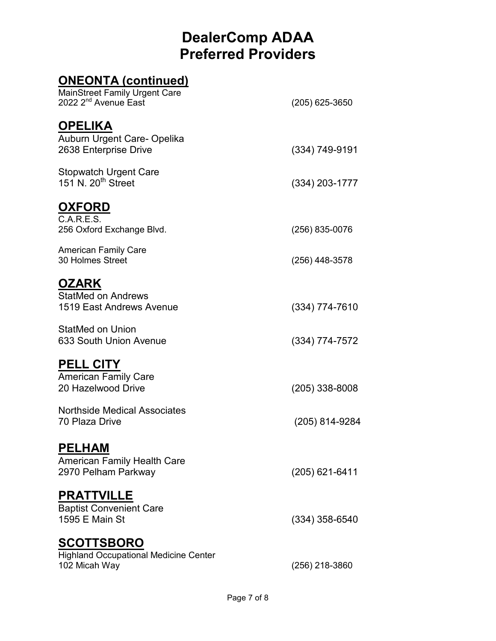#### **ONEONTA (continued)**

| MainStreet Family Urgent Care<br>2022 2 <sup>nd</sup> Avenue East                  | $(205)$ 625-3650 |
|------------------------------------------------------------------------------------|------------------|
| <b>OPELIKA</b><br>Auburn Urgent Care- Opelika<br>2638 Enterprise Drive             | (334) 749-9191   |
| <b>Stopwatch Urgent Care</b><br>151 N. 20 <sup>th</sup> Street                     | $(334)$ 203-1777 |
| <u>OXFORD</u>                                                                      |                  |
| C.A.R.E.S.<br>256 Oxford Exchange Blvd.                                            | (256) 835-0076   |
| <b>American Family Care</b><br>30 Holmes Street                                    | (256) 448-3578   |
| <b>OZARK</b><br><b>StatMed on Andrews</b><br>1519 East Andrews Avenue              | $(334)$ 774-7610 |
| <b>StatMed on Union</b><br>633 South Union Avenue                                  | (334) 774-7572   |
| <b>PELL CITY</b><br><b>American Family Care</b><br>20 Hazelwood Drive              | (205) 338-8008   |
| <b>Northside Medical Associates</b><br>70 Plaza Drive                              | (205) 814-9284   |
| <u>PELHAM</u><br><b>American Family Health Care</b><br>2970 Pelham Parkway         | (205) 621-6411   |
| <u>PRATTVILLE</u><br><b>Baptist Convenient Care</b><br>1595 E Main St              | $(334)$ 358-6540 |
| <u>SCOTTSBORO</u><br><b>Highland Occupational Medicine Center</b><br>102 Micah Way | (256) 218-3860   |